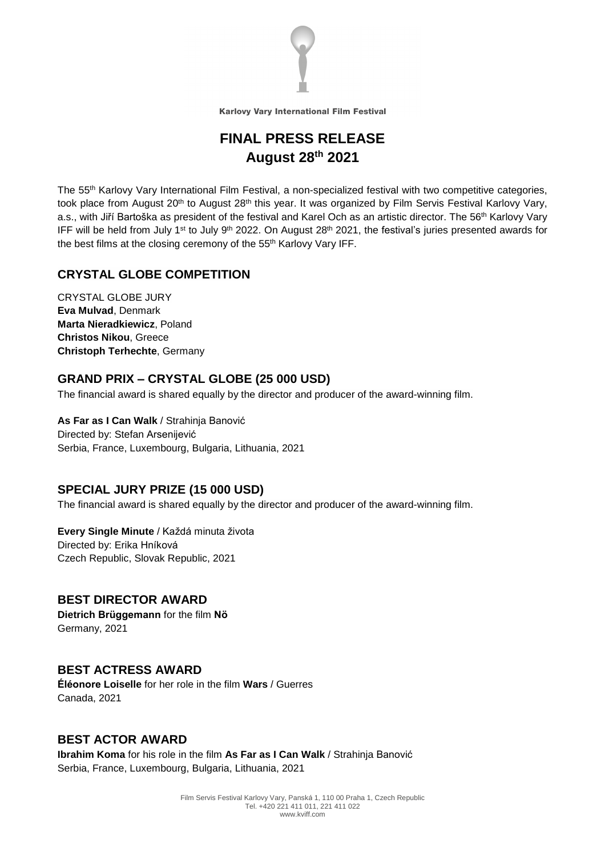

## **FINAL PRESS RELEASE August 28th 2021**

The 55 th Karlovy Vary International Film Festival, a non-specialized festival with two competitive categories, took place from August 20<sup>th</sup> to August 28<sup>th</sup> this year. It was organized by Film Servis Festival Karlovy Vary, a.s., with Jiří Bartoška as president of the festival and Karel Och as an artistic director. The 56<sup>th</sup> Karlovy Vary IFF will be held from July 1<sup>st</sup> to July 9<sup>th</sup> 2022. On August 28<sup>th</sup> 2021, the festival's juries presented awards for the best films at the closing ceremony of the 55<sup>th</sup> Karlovy Vary IFF.

#### **CRYSTAL GLOBE COMPETITION**

CRYSTAL GLOBE JURY **Eva Mulvad**, Denmark **Marta Nieradkiewicz**, Poland **Christos Nikou**, Greece **Christoph Terhechte**, Germany

#### **GRAND PRIX – CRYSTAL GLOBE (25 000 USD)**

The financial award is shared equally by the director and producer of the award-winning film.

**As Far as I Can Walk** / Strahinja Banović Directed by: Stefan Arsenijević Serbia, France, Luxembourg, Bulgaria, Lithuania, 2021

#### **SPECIAL JURY PRIZE (15 000 USD)**

The financial award is shared equally by the director and producer of the award-winning film.

#### **Every Single Minute** / Každá minuta života

Directed by: Erika Hníková Czech Republic, Slovak Republic, 2021

#### **BEST DIRECTOR AWARD**

**Dietrich Brüggemann** for the film **Nö** Germany, 2021

#### **BEST ACTRESS AWARD**

**Éléonore Loiselle** for her role in the film **Wars** / Guerres Canada, 2021

#### **BEST ACTOR AWARD**

**Ibrahim Koma** for his role in the film **As Far as I Can Walk** / Strahinja Banović Serbia, France, Luxembourg, Bulgaria, Lithuania, 2021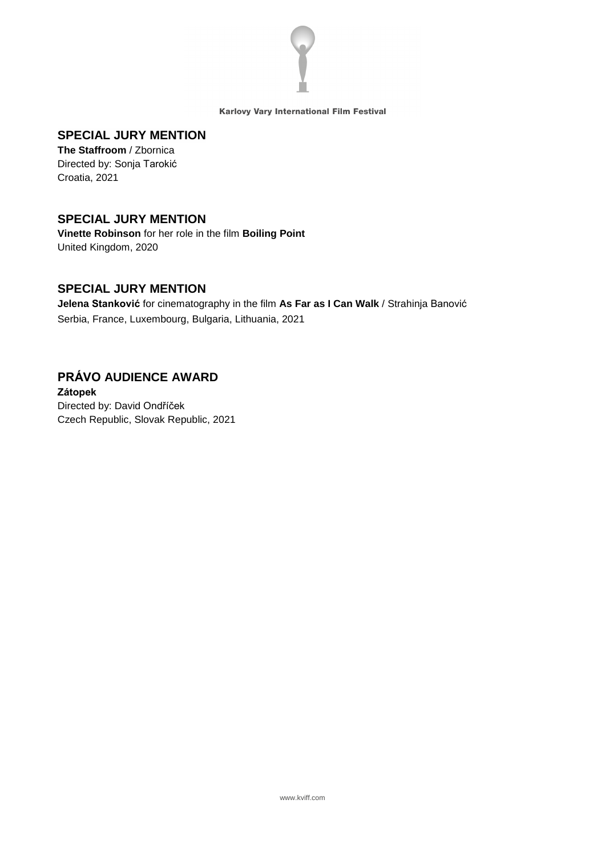

#### **SPECIAL JURY MENTION**

**The Staffroom** / Zbornica Directed by: Sonja Tarokić Croatia, 2021

#### **SPECIAL JURY MENTION**

**Vinette Robinson** for her role in the film **Boiling Point** United Kingdom, 2020

#### **SPECIAL JURY MENTION**

**Jelena Stanković** for cinematography in the film **As Far as I Can Walk** / Strahinja Banović Serbia, France, Luxembourg, Bulgaria, Lithuania, 2021

# **PRÁVO AUDIENCE AWARD**

**Zátopek** Directed by: David Ondříček Czech Republic, Slovak Republic, 2021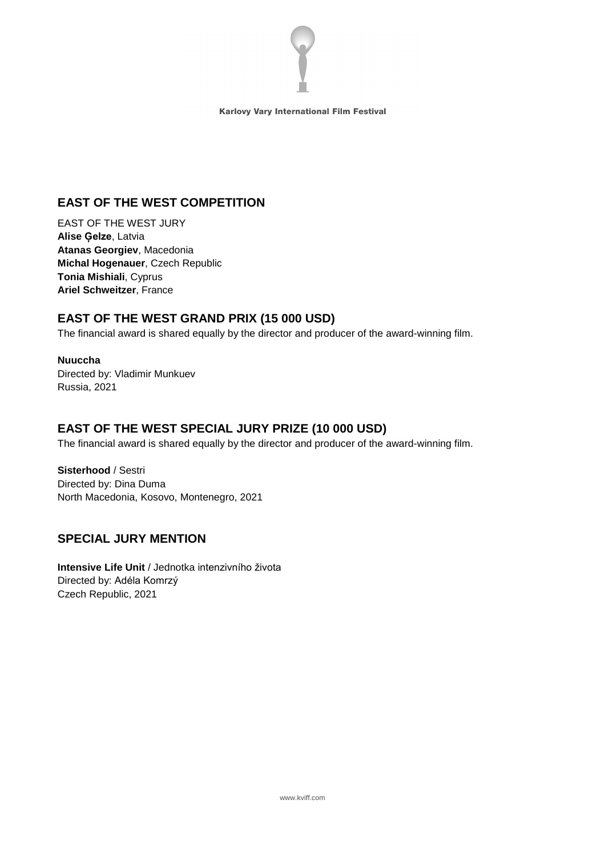

## **EAST OF THE WEST COMPETITION**

EAST OF THE WEST JURY **Alise Ģelze**, Latvia **Atanas Georgiev**, Macedonia **Michal Hogenauer**, Czech Republic **Tonia Mishiali**, Cyprus **Ariel Schweitzer**, France

## **EAST OF THE WEST GRAND PRIX (15 000 USD)**

The financial award is shared equally by the director and producer of the award-winning film.

**Nuuccha** Directed by: Vladimir Munkuev Russia, 2021

## **EAST OF THE WEST SPECIAL JURY PRIZE (10 000 USD)**

The financial award is shared equally by the director and producer of the award-winning film.

**Sisterhood** / Sestri Directed by: Dina Duma North Macedonia, Kosovo, Montenegro, 2021

## **SPECIAL JURY MENTION**

**Intensive Life Unit** / Jednotka intenzivního života Directed by: Adéla Komrzý Czech Republic, 2021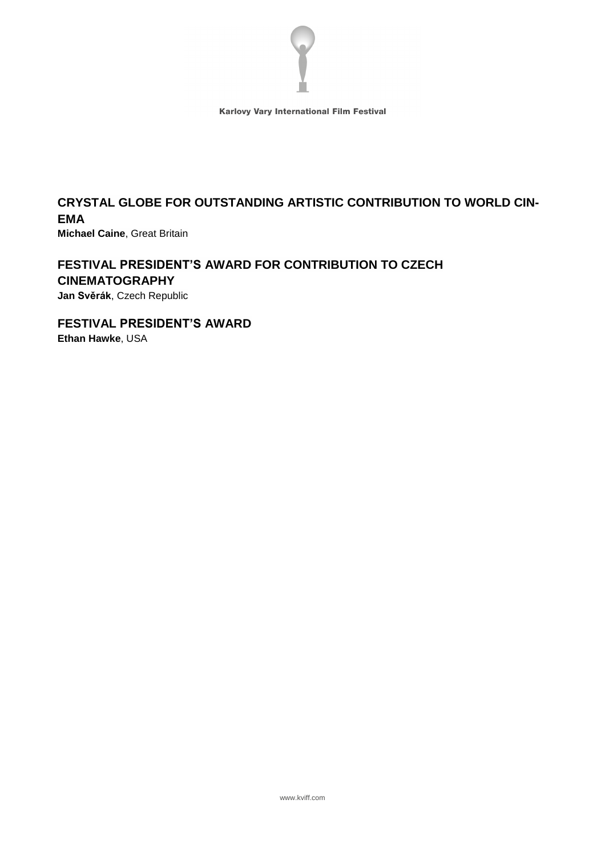

## **CRYSTAL GLOBE FOR OUTSTANDING ARTISTIC CONTRIBUTION TO WORLD CIN-EMA**

**Michael Caine**, Great Britain

#### **FESTIVAL PRESIDENT'S AWARD FOR CONTRIBUTION TO CZECH CINEMATOGRAPHY Jan Svěrák**, Czech Republic

**FESTIVAL PRESIDENT'S AWARD Ethan Hawke**, USA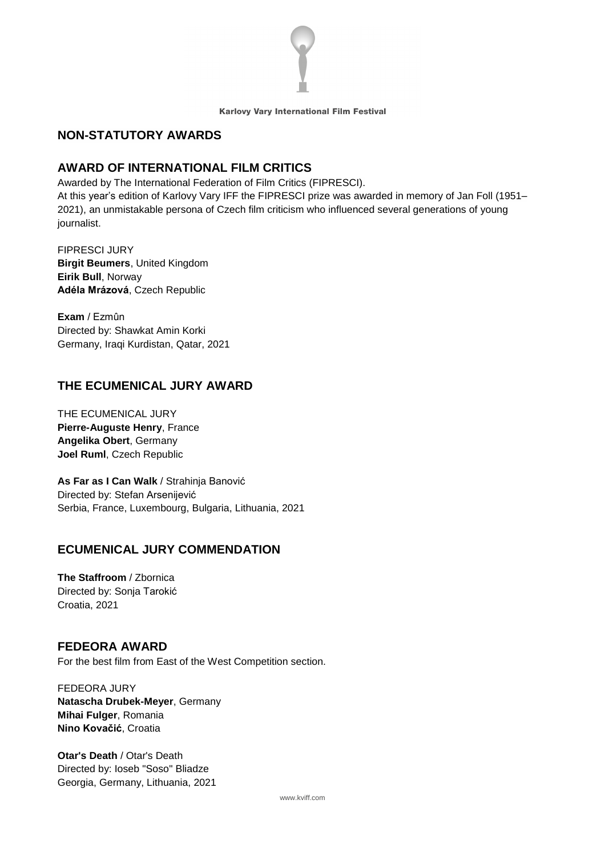

#### **NON-STATUTORY AWARDS**

#### **AWARD OF INTERNATIONAL FILM CRITICS**

Awarded by The International Federation of Film Critics (FIPRESCI).

At this year's edition of Karlovy Vary IFF the FIPRESCI prize was awarded in memory of Jan Foll (1951– 2021), an unmistakable persona of Czech film criticism who influenced several generations of young journalist.

FIPRESCI JURY **Birgit Beumers**, United Kingdom **Eirik Bull**, Norway **Adéla Mrázová**, Czech Republic

**Exam** / Ezmûn Directed by: Shawkat Amin Korki Germany, Iraqi Kurdistan, Qatar, 2021

## **THE ECUMENICAL JURY AWARD**

THE ECUMENICAL JURY **Pierre-Auguste Henry**, France **Angelika Obert**, Germany **Joel Ruml**, Czech Republic

**As Far as I Can Walk** / Strahinja Banović Directed by: Stefan Arsenijević Serbia, France, Luxembourg, Bulgaria, Lithuania, 2021

#### **ECUMENICAL JURY COMMENDATION**

**The Staffroom** / Zbornica Directed by: Sonja Tarokić Croatia, 2021

#### **FEDEORA AWARD**

For the best film from East of the West Competition section.

FEDEORA JURY **Natascha Drubek-Meyer**, Germany **Mihai Fulger**, Romania **Nino Kovačić**, Croatia

**Otar's Death** / Otar's Death Directed by: Ioseb "Soso" Bliadze Georgia, Germany, Lithuania, 2021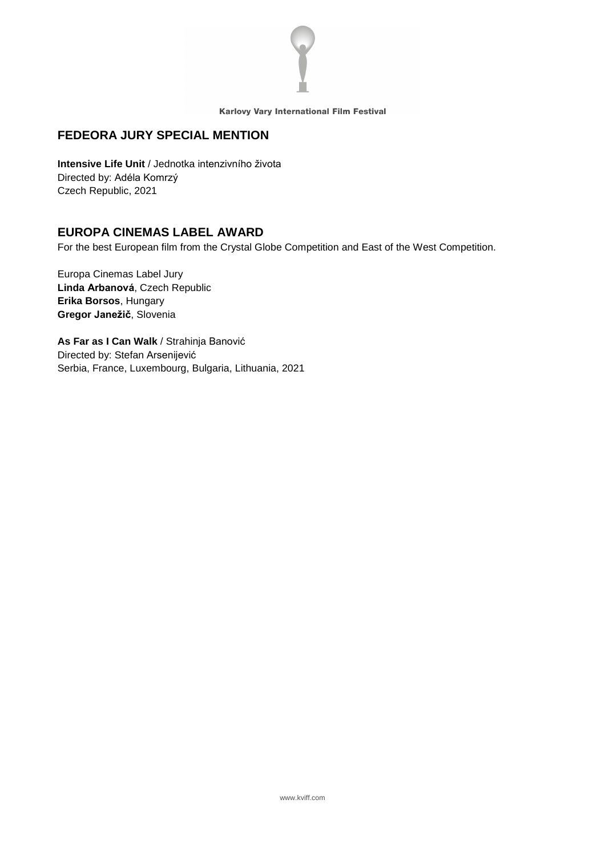

#### **FEDEORA JURY SPECIAL MENTION**

**Intensive Life Unit** / Jednotka intenzivního života Directed by: Adéla Komrzý Czech Republic, 2021

#### **EUROPA CINEMAS LABEL AWARD**

For the best European film from the Crystal Globe Competition and East of the West Competition.

Europa Cinemas Label Jury **Linda Arbanová**, Czech Republic **Erika Borsos**, Hungary **Gregor Janežič**, Slovenia

**As Far as I Can Walk** / Strahinja Banović Directed by: Stefan Arsenijević Serbia, France, Luxembourg, Bulgaria, Lithuania, 2021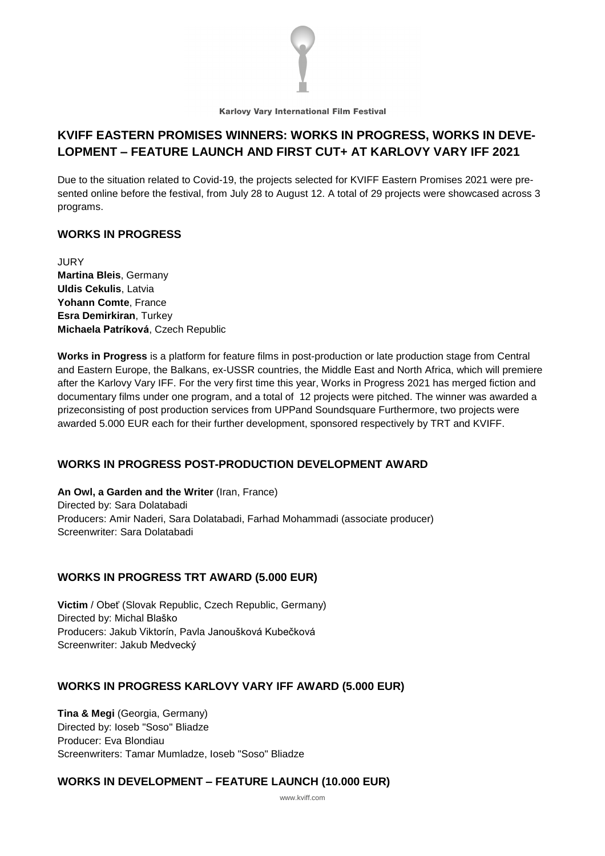

## **KVIFF EASTERN PROMISES WINNERS: WORKS IN PROGRESS, WORKS IN DEVE-LOPMENT – FEATURE LAUNCH AND FIRST CUT+ AT KARLOVY VARY IFF 2021**

Due to the situation related to Covid-19, the projects selected for KVIFF Eastern Promises 2021 were presented online before the festival, from July 28 to August 12. A total of 29 projects were showcased across 3 programs.

#### **WORKS IN PROGRESS**

JURY **Martina Bleis**, Germany **Uldis Cekulis**, Latvia **Yohann Comte**, France **Esra Demirkiran**, Turkey **Michaela Patríková**, Czech Republic

**Works in Progress** is a platform for feature films in post-production or late production stage from Central and Eastern Europe, the Balkans, ex-USSR countries, the Middle East and North Africa, which will premiere after the Karlovy Vary IFF. For the very first time this year, Works in Progress 2021 has merged fiction and documentary films under one program, and a total of 12 projects were pitched. The winner was awarded a prizeconsisting of post production services from UPPand Soundsquare Furthermore, two projects were awarded 5.000 EUR each for their further development, sponsored respectively by TRT and KVIFF.

#### **WORKS IN PROGRESS POST-PRODUCTION DEVELOPMENT AWARD**

**An Owl, a Garden and the Writer** (Iran, France) Directed by: Sara Dolatabadi Producers: Amir Naderi, Sara Dolatabadi, Farhad Mohammadi (associate producer) Screenwriter: Sara Dolatabadi

#### **WORKS IN PROGRESS TRT AWARD (5.000 EUR)**

**Victim** / Obeť (Slovak Republic, Czech Republic, Germany) Directed by: Michal Blaško Producers: Jakub Viktorín, Pavla Janoušková Kubečková Screenwriter: Jakub Medvecký

#### **WORKS IN PROGRESS KARLOVY VARY IFF AWARD (5.000 EUR)**

**Tina & Megi** (Georgia, Germany) Directed by: Ioseb "Soso" Bliadze Producer: Eva Blondiau Screenwriters: Tamar Mumladze, Ioseb "Soso" Bliadze

#### **WORKS IN DEVELOPMENT – FEATURE LAUNCH (10.000 EUR)**

www.kviff.com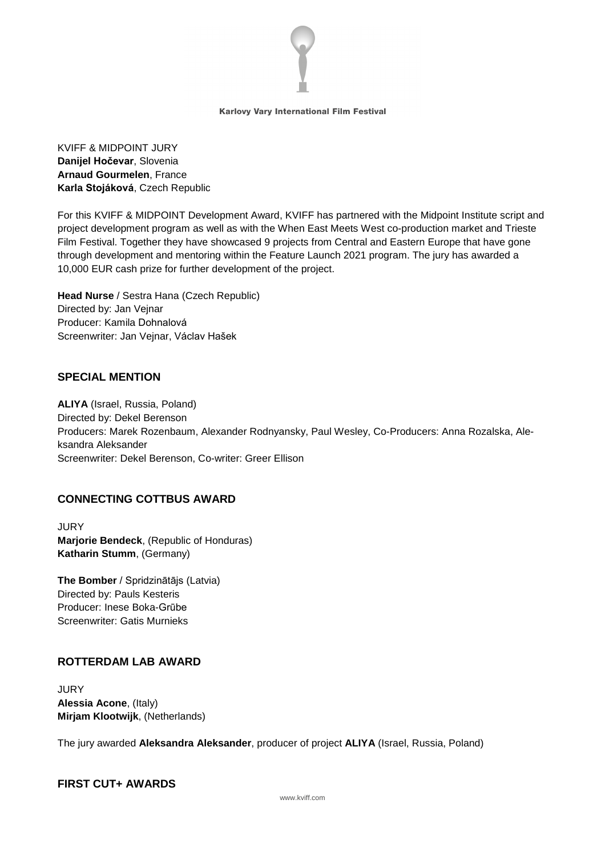

KVIFF & MIDPOINT JURY **Danijel Hočevar**, Slovenia **Arnaud Gourmelen**, France **Karla Stojáková**, Czech Republic

For this KVIFF & MIDPOINT Development Award, KVIFF has partnered with the Midpoint Institute script and project development program as well as with the When East Meets West co-production market and Trieste Film Festival. Together they have showcased 9 projects from Central and Eastern Europe that have gone through development and mentoring within the Feature Launch 2021 program. The jury has awarded a 10,000 EUR cash prize for further development of the project.

**Head Nurse** / Sestra Hana (Czech Republic) Directed by: Jan Vejnar Producer: Kamila Dohnalová Screenwriter: Jan Vejnar, Václav Hašek

#### **SPECIAL MENTION**

**ALIYA** (Israel, Russia, Poland) Directed by: Dekel Berenson Producers: Marek Rozenbaum, Alexander Rodnyansky, Paul Wesley, Co-Producers: Anna Rozalska, Aleksandra Aleksander Screenwriter: Dekel Berenson, Co-writer: Greer Ellison

#### **CONNECTING COTTBUS AWARD**

**JURY Marjorie Bendeck**, (Republic of Honduras) **Katharin Stumm**, (Germany)

**The Bomber** / Spridzinātājs (Latvia) Directed by: Pauls Kesteris Producer: Inese Boka-Grūbe Screenwriter: Gatis Murnieks

#### **ROTTERDAM LAB AWARD**

JURY **Alessia Acone**, (Italy) **Mirjam Klootwijk**, (Netherlands)

The jury awarded **Aleksandra Aleksander**, producer of project **ALIYA** (Israel, Russia, Poland)

#### **FIRST CUT+ AWARDS**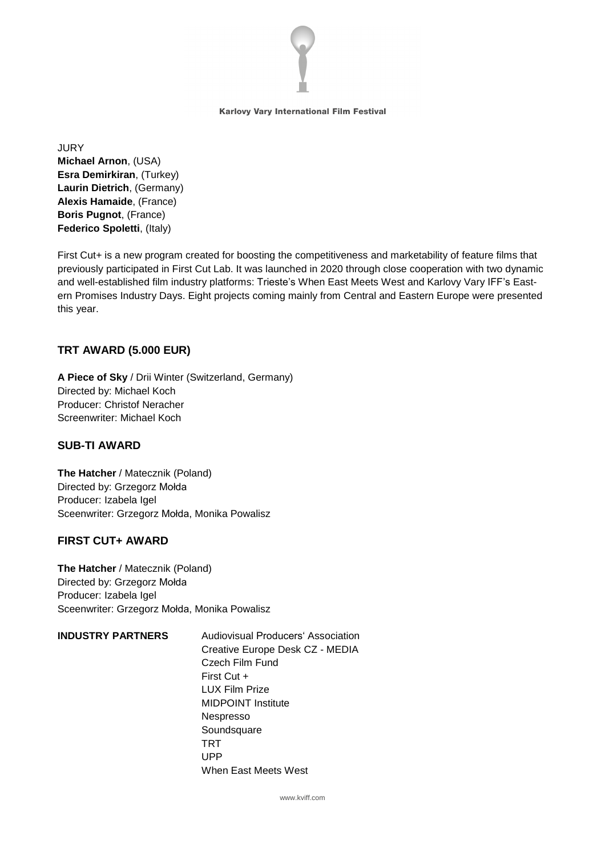

**JURY Michael Arnon**, (USA) **Esra Demirkiran**, (Turkey) **Laurin Dietrich**, (Germany) **Alexis Hamaide**, (France) **Boris Pugnot**, (France) **Federico Spoletti**, (Italy)

First Cut+ is a new program created for boosting the competitiveness and marketability of feature films that previously participated in First Cut Lab. It was launched in 2020 through close cooperation with two dynamic and well-established film industry platforms: Trieste's When East Meets West and Karlovy Vary IFF's Eastern Promises Industry Days. Eight projects coming mainly from Central and Eastern Europe were presented this year.

#### **TRT AWARD (5.000 EUR)**

**A Piece of Sky** / Drii Winter (Switzerland, Germany) Directed by: Michael Koch Producer: Christof Neracher Screenwriter: Michael Koch

#### **SUB-TI AWARD**

**The Hatcher** / Matecznik (Poland) Directed by: Grzegorz Mołda Producer: Izabela Igel Sceenwriter: Grzegorz Mołda, Monika Powalisz

#### **FIRST CUT+ AWARD**

**The Hatcher** / Matecznik (Poland) Directed by: Grzegorz Mołda Producer: Izabela Igel Sceenwriter: Grzegorz Mołda, Monika Powalisz

#### **INDUSTRY PARTNERS** Audiovisual Producers' Association Creative Europe Desk CZ - MEDIA Czech Film Fund First Cut + LUX Film Prize MIDPOINT Institute Nespresso **Soundsquare** TRT UPP When East Meets West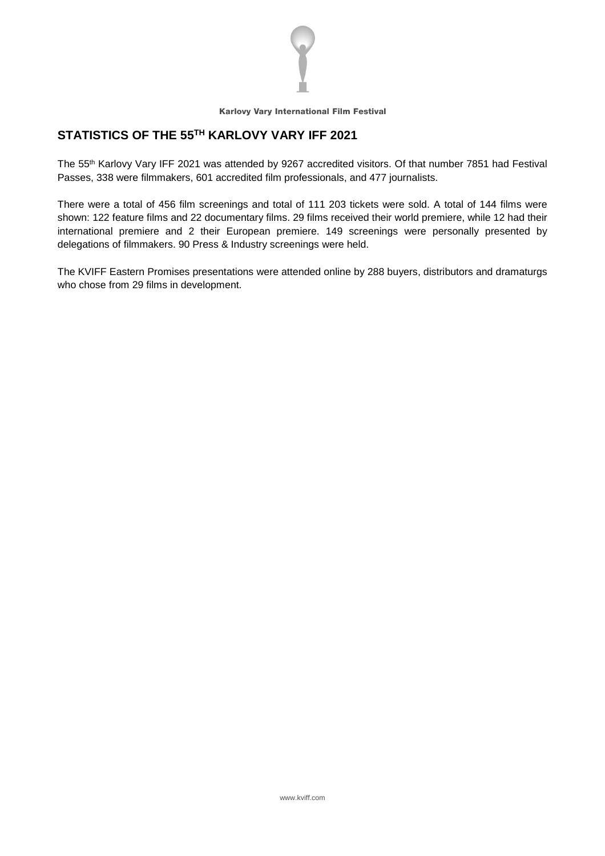

## **STATISTICS OF THE 55 TH KARLOVY VARY IFF 2021**

The 55 th Karlovy Vary IFF 2021 was attended by 9267 accredited visitors. Of that number 7851 had Festival Passes, 338 were filmmakers, 601 accredited film professionals, and 477 journalists.

There were a total of 456 film screenings and total of 111 203 tickets were sold. A total of 144 films were shown: 122 feature films and 22 documentary films. 29 films received their world premiere, while 12 had their international premiere and 2 their European premiere. 149 screenings were personally presented by delegations of filmmakers. 90 Press & Industry screenings were held.

The KVIFF Eastern Promises presentations were attended online by 288 buyers, distributors and dramaturgs who chose from 29 films in development.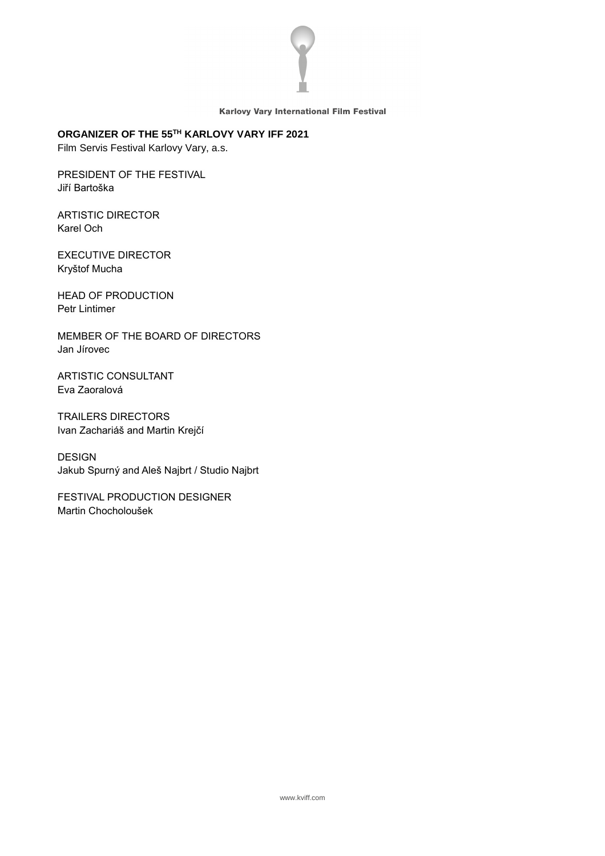

#### **ORGANIZER OF THE 55 TH KARLOVY VARY IFF 2021**

Film Servis Festival Karlovy Vary, a.s.

PRESIDENT OF THE FESTIVAL Jiří Bartoška

ARTISTIC DIRECTOR Karel Och

EXECUTIVE DIRECTOR Kryštof Mucha

HEAD OF PRODUCTION Petr Lintimer

MEMBER OF THE BOARD OF DIRECTORS Jan Jírovec

ARTISTIC CONSULTANT Eva Zaoralová

TRAILERS DIRECTORS Ivan Zachariáš and Martin Krejčí

DESIGN Jakub Spurný and Aleš Najbrt / Studio Najbrt

FESTIVAL PRODUCTION DESIGNER Martin Chocholoušek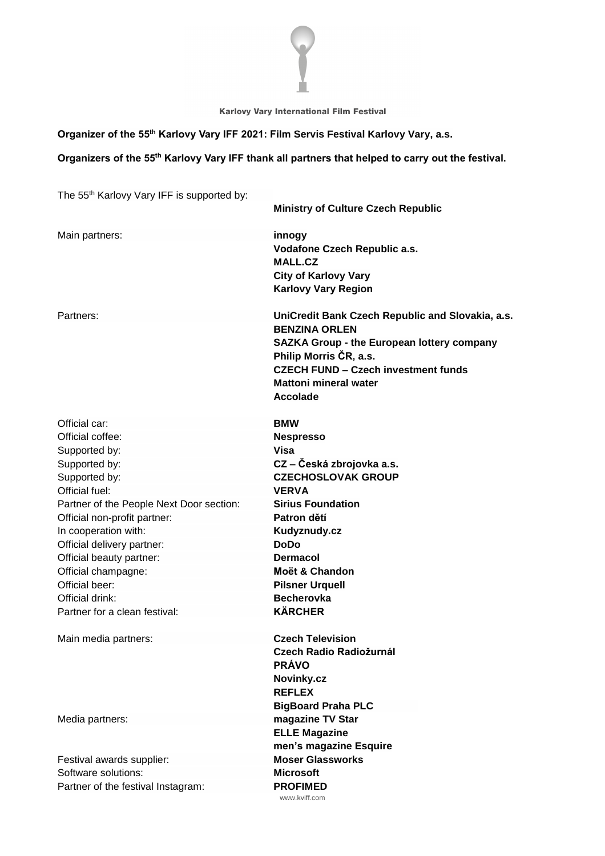

#### **Organizer of the 55 th Karlovy Vary IFF 2021: Film Servis Festival Karlovy Vary, a.s.**

#### **Organizers of the 55 th Karlovy Vary IFF thank all partners that helped to carry out the festival.**

The 55 th Karlovy Vary IFF is supported by:

| $\frac{1}{2}$ . The result of $\frac{1}{2}$ is the support of $\frac{1}{2}$ | <b>Ministry of Culture Czech Republic</b>                                                                                                                                                                                                                |
|-----------------------------------------------------------------------------|----------------------------------------------------------------------------------------------------------------------------------------------------------------------------------------------------------------------------------------------------------|
| Main partners:                                                              | innogy<br>Vodafone Czech Republic a.s.<br><b>MALL.CZ</b><br><b>City of Karlovy Vary</b><br><b>Karlovy Vary Region</b>                                                                                                                                    |
| Partners:                                                                   | UniCredit Bank Czech Republic and Slovakia, a.s.<br><b>BENZINA ORLEN</b><br><b>SAZKA Group - the European lottery company</b><br>Philip Morris ČR, a.s.<br><b>CZECH FUND - Czech investment funds</b><br><b>Mattoni mineral water</b><br><b>Accolade</b> |
| Official car:                                                               | <b>BMW</b>                                                                                                                                                                                                                                               |
| Official coffee:                                                            | <b>Nespresso</b>                                                                                                                                                                                                                                         |
| Supported by:                                                               | Visa                                                                                                                                                                                                                                                     |
| Supported by:                                                               | CZ – Česká zbrojovka a.s.                                                                                                                                                                                                                                |
| Supported by:                                                               | <b>CZECHOSLOVAK GROUP</b>                                                                                                                                                                                                                                |
| Official fuel:                                                              | <b>VERVA</b>                                                                                                                                                                                                                                             |
| Partner of the People Next Door section:                                    | <b>Sirius Foundation</b>                                                                                                                                                                                                                                 |
| Official non-profit partner:                                                | Patron dětí                                                                                                                                                                                                                                              |
| In cooperation with:                                                        | Kudyznudy.cz                                                                                                                                                                                                                                             |
| Official delivery partner:                                                  | <b>DoDo</b>                                                                                                                                                                                                                                              |
| Official beauty partner:                                                    | <b>Dermacol</b>                                                                                                                                                                                                                                          |
| Official champagne:                                                         | Moët & Chandon                                                                                                                                                                                                                                           |
| Official beer:                                                              | <b>Pilsner Urquell</b>                                                                                                                                                                                                                                   |
| Official drink:                                                             | <b>Becherovka</b>                                                                                                                                                                                                                                        |
| Partner for a clean festival:                                               | <b>KÄRCHER</b>                                                                                                                                                                                                                                           |
| Main media partners:                                                        | <b>Czech Television</b>                                                                                                                                                                                                                                  |
|                                                                             | Czech Radio Radiožurnál                                                                                                                                                                                                                                  |
|                                                                             | <b>PRÁVO</b>                                                                                                                                                                                                                                             |
|                                                                             | Novinky.cz                                                                                                                                                                                                                                               |
|                                                                             | <b>REFLEX</b>                                                                                                                                                                                                                                            |
|                                                                             | <b>BigBoard Praha PLC</b>                                                                                                                                                                                                                                |
| Media partners:                                                             | magazine TV Star                                                                                                                                                                                                                                         |
|                                                                             | <b>ELLE Magazine</b>                                                                                                                                                                                                                                     |
|                                                                             | men's magazine Esquire                                                                                                                                                                                                                                   |
| Festival awards supplier:                                                   | <b>Moser Glassworks</b>                                                                                                                                                                                                                                  |
| Software solutions:                                                         | <b>Microsoft</b>                                                                                                                                                                                                                                         |
| Partner of the festival Instagram:                                          | <b>PROFIMED</b>                                                                                                                                                                                                                                          |
|                                                                             | www.kviff.com                                                                                                                                                                                                                                            |